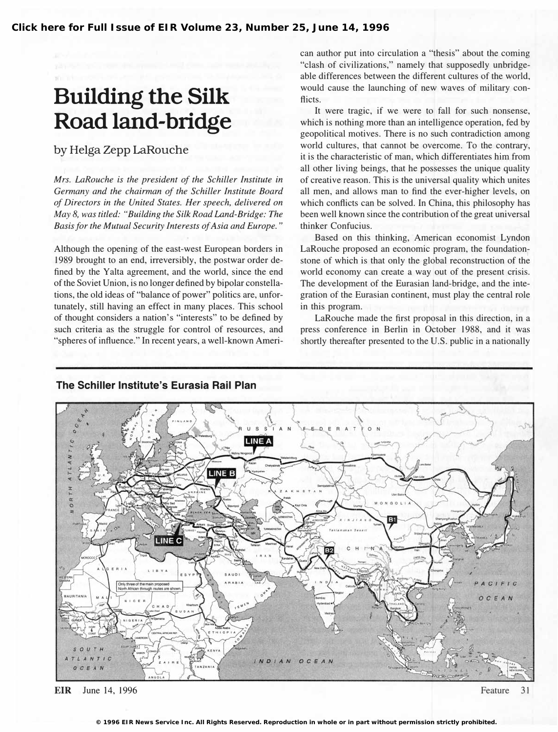**[Click here for Full Issue of EIR Volume 23, Number 25, June 14, 1996](http://www.larouchepub.com/eiw/public/1996/eirv23n25-19960614/index.html)**

# Building the Silk Road land-bridge

by Helga Zepp LaRouche

Mrs. LaRouche is the president of the Schiller Institute in Germany and the chairman of the Schiller Institute Board of Directors in the United States. Her speech, delivered on May 8, was titled: "Building the Silk Road Land-Bridge: The Basis for the Mutual Security Interests of Asia and Europe."

Although the opening of the east-west European borders in 1989 brought to an end, irreversibly, the postwar order defined by the Yalta agreement, and the world, since the end of the Soviet Union, is no longer defined by bipolar constellations, the old ideas of "balance of power" politics are, unfortunately, still having an effect in many places. This school of thought considers a nation's "interests" to be defined by such criteria as the struggle for control of resources, and "spheres of influence." In recent years, a well-known American author put into circulation a "thesis" about the coming "clash of civilizations," namely that supposedly unbridgeable differences between the different cultures of the world, would cause the launching of new waves of military conflicts.

It were tragic, if we were to fall for such nonsense, which is nothing more than an intelligence operation, fed by geopolitical motives. There is no such contradiction among world cultures, that cannot be overcome. To the contrary, it is the characteristic of man, which differentiates him from all other living beings, that he possesses the unique quality of creative reason. This is the universal quality which unites all men, and allows man to find the ever-higher levels, on which conflicts can be solved. In China, this philosophy has been well known since the contribution of the great universal thinker Confucius.

Based on this thinking, American economist Lyndon LaRouche proposed an economic program, the foundationstone of which is that only the global reconstruction of the world economy can create a way out of the present crisis. The development of the Eurasian land-bridge, and the integration of the Eurasian continent, must play the central role in this program.

LaRouche made the first proposal in this direction, in a press conference in Berlin in October 1988, and it was shortly thereafter presented to the U.S. public in a nationally



The Schiller Institute's Eurasia Rail Plan

EIR June 14, 1996

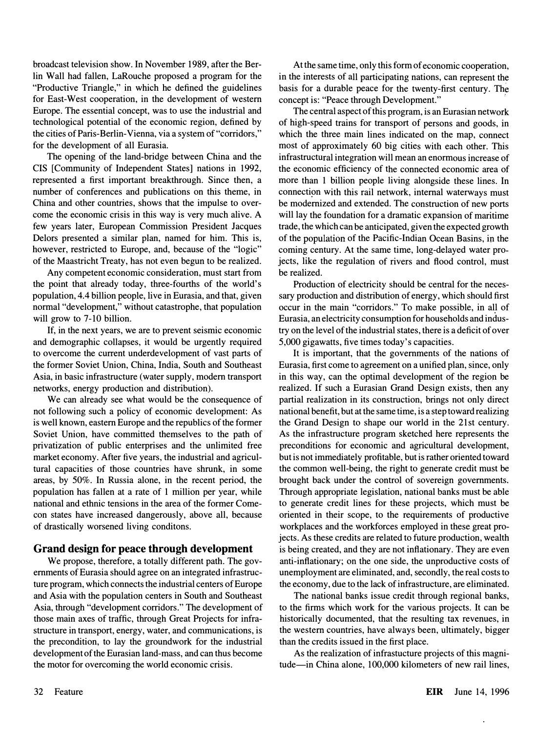broadcast television show. In November 1989, after the Berlin Wall had fallen, LaRouche proposed a program for the "Productive Triangle," in which he defined the guidelines for East-West cooperation, in the development of western Europe. The essential concept, was to use the industrial and technological potential of the economic region, defined by the cities of Paris-Berlin-Vienna, via a system of "corridors," for the development of all Eurasia.

The opening of the land-bridge between China and the CIS [Community of Independent States] nations in 1992, represented a first important breakthrough. Since then, a number of conferences and publications on this theme, in China and other countries, shows that the impulse to overcome the economic crisis in this way is very much alive. A few years later, European Commission President Jacques Delors presented a similar plan, named for him. This is, however, restricted to Europe, and, because of the "logic" of the Maastricht Treaty, has not even begun to be realized.

Any competent economic consideration, must start from the point that already today, three-fourths of the world's population, 4.4 billion people, live in Eurasia, and that, given normal "development," without catastrophe, that population will grow to 7-10 billion.

If, in the next years, we are to prevent seismic economic and demographic collapses, it would be urgently required to overcome the current underdevelopment of vast parts of the former Soviet Union, China, India, South and Southeast Asia, in basic infrastructure (water supply, modem transport networks, energy production and distribution).

We can already see what would be the consequence of not following such a policy of economic development: As is well known, eastern Europe and the republics of the former Soviet Union, have committed themselves to the path of privatization of public enterprises and the unlimited free market economy. After five years, the industrial and agricultural capacities of those countries have shrunk, in some areas, by 50%. In Russia alone, in the recent period, the population has fallen at a rate of 1 million per year, while national and ethnic tensions in the area of the former Comecon states have increased dangerously, above all, because of drastically worsened living conditons.

### Grand design for peace through development

We propose, therefore, a totally different path. The governments of Eurasia should agree on an integrated infrastructure program, which connects the industrial centers of Europe and Asia with the population centers in South and Southeast Asia, through "development corridors." The development of those main axes of traffic, through Great Projects for infrastructure in transport, energy, water, and communications, is the precondition, to lay the groundwork for the industrial development of the Eurasian land-mass, and can thus become the motor for overcoming the world economic crisis.

At the same time, only this form of economic cooperation, in the interests of all participating nations, can represent the basis for a durable peace for the twenty-first century. The concept is: "Peace through Development."

The central aspect of this program, is an Eurasian network of high-speed trains for transport of persons and goods, in which the three main lines indicated on the map, connect most of approximately 60 big cities with each other. This infrastructural integration will mean an enormous increase of the economic efficiency of the connected economic area of more than 1 billion people living alongside these lines. In connection with this rail network, internal waterways must be modernized and extended. The construction of new ports will lay the foundation for a dramatic expansion of maritime trade, the which can be anticipated, given the expected growth of the population of the Pacific-Indian Ocean Basins, in the coming century. At the same time, long-delayed water projects, like the regulation of rivers and flood control, must be realized.

Production of electricity should be central for the necessary production and distribution of energy, which should first occur in the main "corridors." To make possible, in all of Eurasia, an electricity consumption for households and industry on the level of the industrial states, there is a deficit of over 5,000 gigawatts, five times today's capacities.

It is important, that the governments of the nations of Eurasia, first come to agreement on a unified plan, since, only in this way, can the optimal development of the region be realized. If such a Eurasian Grand Design exists, then any partial realization in its construction, brings not only direct national benefit, but at the same time, is a step toward realizing the Grand Design to shape our world in the 21st century. As the infrastructure program sketched here represents the preconditions for economic and agricultural development, but is not immediately profitable, but is rather oriented toward the common well-being, the right to generate credit must be brought back under the control of sovereign governments. Through appropriate legislation, national banks must be able to generate credit lines for these projects, which must be oriented in their scope, to the requirements of productive workplaces and the workforces employed in these great projects. As these credits are related to future production, wealth is being created, and they are not inflationary. They are even anti-inflationary; on the one side, the unproductive costs of unemployment are eliminated, and, secondly, the real costs to the economy, due to the lack of infrastructure, are eliminated.

The national banks issue credit through regional banks, to the firms which work for the various projects. It can be historically documented, that the resulting tax revenues, in the western countries, have always been, ultimately, bigger than the credits issued in the first place.

As the realization of infrastucture projects of this magnitude-in China alone, 100,000 kilometers of new rail lines,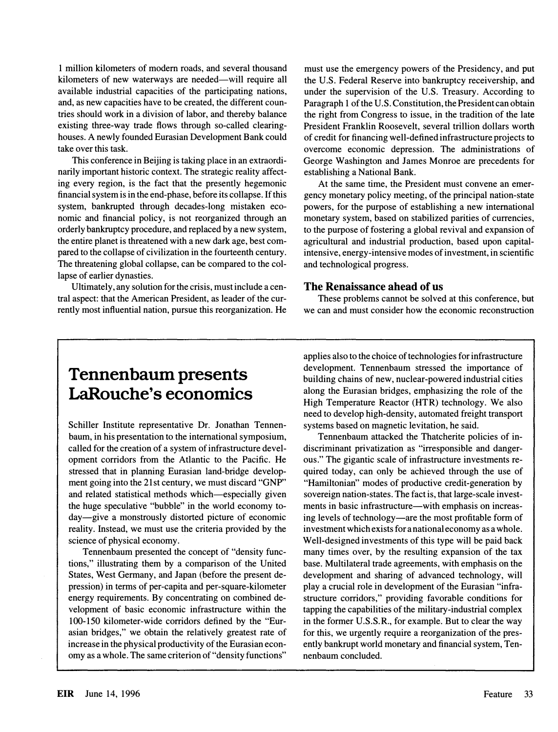1 million kilometers of modem roads, and several thousand kilometers of new waterways are needed—will require all available industrial capacities of the participating nations, and, as new capacities have to be created, the different countries should work in a division of labor, and thereby balance existing three-way trade flows through so-called clearinghouses. A newly founded Eurasian Development Bank could take over this task.

This conference in Beijing is taking place in an extraordinarily important historic context. The strategic reality affecting every region, is the fact that the presently hegemonic financial system is in the end-phase, before its collapse. If this system, bankrupted through decades-long mistaken economic and financial policy, is not reorganized through an orderly bankruptcy procedure, and replaced by a new system, the entire planet is threatened with a new dark age, best compared to the collapse of civilization in the fourteenth century. The threatening global collapse, can be compared to the collapse of earlier dynasties.

Ultimately, any solution for the crisis, must include a central aspect: that the American President, as leader of the currently most influential nation, pursue this reorganization. He

must use the emergency powers of the Presidency, and put the U.S. Federal Reserve into bankruptcy receivership, and under the supervision of the U.S. Treasury. According to Paragraph 1 of the U.S. Constitution, the President can obtain the right from Congress to issue, in the tradition of the late President Franklin Roosevelt, several trillion dollars worth of credit for financing well-defined infrastructure projects to overcome economic depression. The administrations of George Washington and James Monroe are precedents for establishing a National Bank.

At the same time, the President must convene an emergency monetary policy meeting, of the principal nation-state powers, for the purpose of establishing a new international monetary system, based on stabilized parities of currencies, to the purpose of fostering a global revival and expansion of agricultural and industrial production, based upon capitalintensive, energy-intensive modes of investment, in scientific and technological progress.

#### The Renaissance ahead of us

These problems cannot be solved at this conference, but we can and must consider how the economic reconstruction

### Tennenbaum presents LaRouche's economics

Schiller Institute representative Dr. Jonathan Tennenbaum, in his presentation to the international symposium, called for the creation of a system of infrastructure development corridors from the Atlantic to the Pacific. He stressed that in planning Eurasian land-bridge development going into the 21st century, we must discard "GNP" and related statistical methods which—especially given the huge speculative "bubble" in the world economy today-give a monstrously distorted picture of economic reality. Instead, we must use the criteria provided by the science of physical economy.

Tennenbaum presented the concept of "density functions," illustrating them by a comparison of the United States, West Germany, and Japan (before the present depression) in terms of per-capita and per-square-kilometer energy requirements. By concentrating on combined development of basic economic infrastructure within the 100-150 kilometer-wide corridors defined by the "Eurasian bridges," we obtain the relatively greatest rate of increase in the physical productivity of the Eurasian economy as a whole. The same criterion of "density functions" applies also to the choice of technologies for infrastructure development. Tennenbaum stressed the importance of building chains of new, nuclear-powered industrial cities along the Eurasian bridges, emphasizing the role of the High Temperature Reactor (HTR) technology. We also need to develop high-density, automated freight transport systems based on magnetic levitation, he said.

Tennenbaum attacked the Thatcherite policies of indiscriminant privatization as "irresponsible and dangerous." The gigantic scale of infrastructure investments required today, can only be achieved through the use of "Hamiltonian" modes of productive credit-generation by sovereign nation-states. The fact is, that large-scale investments in basic infrastructure—with emphasis on increasing levels of technology-are the most profitable form of investment which exists for a national economy as a whole. Well-designed investments of this type will be paid back many times over, by the resulting expansion of the tax base. Multilateral trade agreements, with emphasis on the development and sharing of advanced technology, will play a crucial role in development of the Eurasian "infrastructure corridors," providing favorable conditions for tapping the capabilities of the military-industrial complex in the former U.S.S.R., for example. But to clear the way for this, we urgently require a reorganization of the presently bankrupt world monetary and financial system, Tennenbaum concluded.